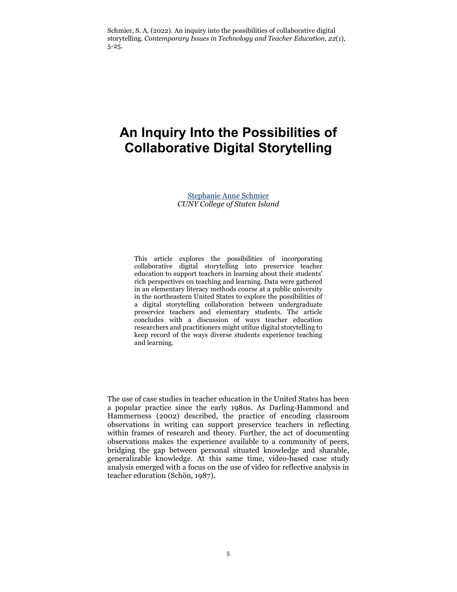Schmier, S. A. (2022). An inquiry into the possibilities of collaborative digital storytelling. *Contemporary Issues in Technology and Teacher Education, 22*(1), 5-25.

# **An Inquiry Into the Possibilities of Collaborative Digital Storytelling**

[Stephanie Anne Schmier](mailto:sschmier@gmail.com) *CUNY College of Staten Island*

This article explores the possibilities of incorporating collaborative digital storytelling into preservice teacher education to support teachers in learning about their students' rich perspectives on teaching and learning. Data were gathered in an elementary literacy methods course at a public university in the northeastern United States to explore the possibilities of a digital storytelling collaboration between undergraduate preservice teachers and elementary students. The article concludes with a discussion of ways teacher education researchers and practitioners might utilize digital storytelling to keep record of the ways diverse students experience teaching and learning.

The use of case studies in teacher education in the United States has been a popular practice since the early 1980s. As Darling-Hammond and Hammerness (2002) described, the practice of encoding classroom observations in writing can support preservice teachers in reflecting within frames of research and theory. Further, the act of documenting observations makes the experience available to a community of peers, bridging the gap between personal situated knowledge and sharable, generalizable knowledge. At this same time, video-based case study analysis emerged with a focus on the use of video for reflective analysis in teacher education (Schön, 1987).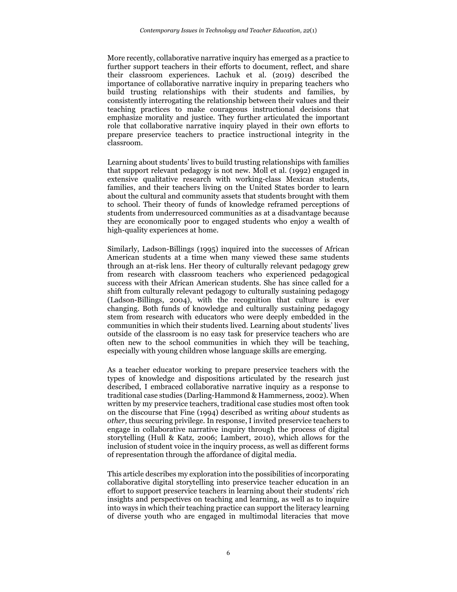More recently, collaborative narrative inquiry has emerged as a practice to further support teachers in their efforts to document, reflect, and share their classroom experiences. Lachuk et al. (2019) described the importance of collaborative narrative inquiry in preparing teachers who build trusting relationships with their students and families, by consistently interrogating the relationship between their values and their teaching practices to make courageous instructional decisions that emphasize morality and justice. They further articulated the important role that collaborative narrative inquiry played in their own efforts to prepare preservice teachers to practice instructional integrity in the classroom.

Learning about students' lives to build trusting relationships with families that support relevant pedagogy is not new. Moll et al. (1992) engaged in extensive qualitative research with working-class Mexican students, families, and their teachers living on the United States border to learn about the cultural and community assets that students brought with them to school. Their theory of funds of knowledge reframed perceptions of students from underresourced communities as at a disadvantage because they are economically poor to engaged students who enjoy a wealth of high-quality experiences at home.

Similarly, Ladson-Billings (1995) inquired into the successes of African American students at a time when many viewed these same students through an at-risk lens. Her theory of culturally relevant pedagogy grew from research with classroom teachers who experienced pedagogical success with their African American students. She has since called for a shift from culturally relevant pedagogy to culturally sustaining pedagogy (Ladson-Billings, 2004), with the recognition that culture is ever changing. Both funds of knowledge and culturally sustaining pedagogy stem from research with educators who were deeply embedded in the communities in which their students lived. Learning about students' lives outside of the classroom is no easy task for preservice teachers who are often new to the school communities in which they will be teaching, especially with young children whose language skills are emerging.

As a teacher educator working to prepare preservice teachers with the types of knowledge and dispositions articulated by the research just described, I embraced collaborative narrative inquiry as a response to traditional case studies (Darling-Hammond & Hammerness, 2002). When written by my preservice teachers, traditional case studies most often took on the discourse that Fine (1994) described as writing *about* students as *other,* thus securing privilege. In response, I invited preservice teachers to engage in collaborative narrative inquiry through the process of digital storytelling (Hull & Katz, 2006; Lambert, 2010), which allows for the inclusion of student voice in the inquiry process, as well as different forms of representation through the affordance of digital media.

This article describes my exploration into the possibilities of incorporating collaborative digital storytelling into preservice teacher education in an effort to support preservice teachers in learning about their students' rich insights and perspectives on teaching and learning, as well as to inquire into ways in which their teaching practice can support the literacy learning of diverse youth who are engaged in multimodal literacies that move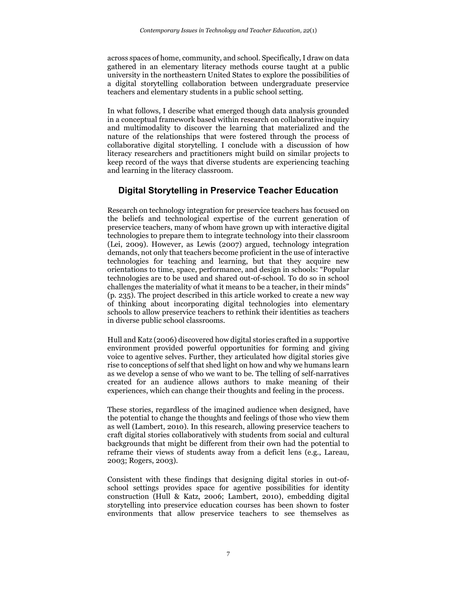across spaces of home, community, and school. Specifically, I draw on data gathered in an elementary literacy methods course taught at a public university in the northeastern United States to explore the possibilities of a digital storytelling collaboration between undergraduate preservice teachers and elementary students in a public school setting.

In what follows, I describe what emerged though data analysis grounded in a conceptual framework based within research on collaborative inquiry and multimodality to discover the learning that materialized and the nature of the relationships that were fostered through the process of collaborative digital storytelling. I conclude with a discussion of how literacy researchers and practitioners might build on similar projects to keep record of the ways that diverse students are experiencing teaching and learning in the literacy classroom.

# **Digital Storytelling in Preservice Teacher Education**

Research on technology integration for preservice teachers has focused on the beliefs and technological expertise of the current generation of preservice teachers, many of whom have grown up with interactive digital technologies to prepare them to integrate technology into their classroom (Lei, 2009). However, as Lewis (2007) argued, technology integration demands, not only that teachers become proficient in the use of interactive technologies for teaching and learning, but that they acquire new orientations to time, space, performance, and design in schools: "Popular technologies are to be used and shared out-of-school. To do so in school challenges the materiality of what it means to be a teacher, in their minds" (p. 235). The project described in this article worked to create a new way of thinking about incorporating digital technologies into elementary schools to allow preservice teachers to rethink their identities as teachers in diverse public school classrooms.

Hull and Katz (2006) discovered how digital stories crafted in a supportive environment provided powerful opportunities for forming and giving voice to agentive selves. Further, they articulated how digital stories give rise to conceptions of self that shed light on how and why we humans learn as we develop a sense of who we want to be. The telling of self-narratives created for an audience allows authors to make meaning of their experiences, which can change their thoughts and feeling in the process.

These stories, regardless of the imagined audience when designed, have the potential to change the thoughts and feelings of those who view them as well (Lambert, 2010). In this research, allowing preservice teachers to craft digital stories collaboratively with students from social and cultural backgrounds that might be different from their own had the potential to reframe their views of students away from a deficit lens (e.g., Lareau, 2003; Rogers, 2003).

Consistent with these findings that designing digital stories in out-ofschool settings provides space for agentive possibilities for identity construction (Hull & Katz, 2006; Lambert, 2010), embedding digital storytelling into preservice education courses has been shown to foster environments that allow preservice teachers to see themselves as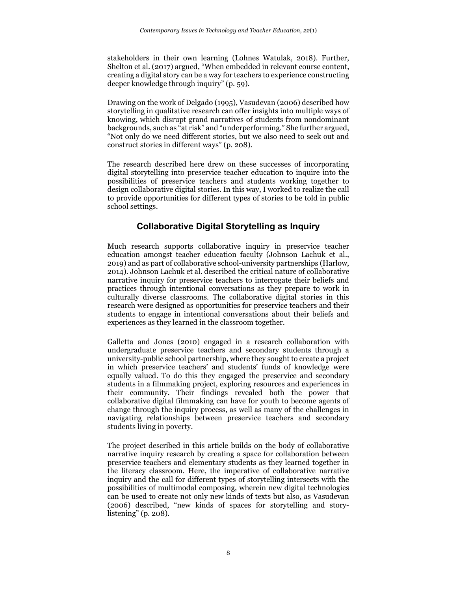stakeholders in their own learning (Lohnes Watulak, 2018). Further, Shelton et al. (2017) argued, "When embedded in relevant course content, creating a digital story can be a way for teachers to experience constructing deeper knowledge through inquiry" (p. 59).

Drawing on the work of Delgado (1995), Vasudevan (2006) described how storytelling in qualitative research can offer insights into multiple ways of knowing, which disrupt grand narratives of students from nondominant backgrounds, such as "at risk" and "underperforming." She further argued, "Not only do we need different stories, but we also need to seek out and construct stories in different ways" (p. 208).

The research described here drew on these successes of incorporating digital storytelling into preservice teacher education to inquire into the possibilities of preservice teachers and students working together to design collaborative digital stories. In this way, I worked to realize the call to provide opportunities for different types of stories to be told in public school settings.

# **Collaborative Digital Storytelling as Inquiry**

Much research supports collaborative inquiry in preservice teacher education amongst teacher education faculty (Johnson Lachuk et al., 2019) and as part of collaborative school-university partnerships (Harlow, 2014). Johnson Lachuk et al. described the critical nature of collaborative narrative inquiry for preservice teachers to interrogate their beliefs and practices through intentional conversations as they prepare to work in culturally diverse classrooms. The collaborative digital stories in this research were designed as opportunities for preservice teachers and their students to engage in intentional conversations about their beliefs and experiences as they learned in the classroom together.

Galletta and Jones (2010) engaged in a research collaboration with undergraduate preservice teachers and secondary students through a university-public school partnership, where they sought to create a project in which preservice teachers' and students' funds of knowledge were equally valued. To do this they engaged the preservice and secondary students in a filmmaking project, exploring resources and experiences in their community. Their findings revealed both the power that collaborative digital filmmaking can have for youth to become agents of change through the inquiry process, as well as many of the challenges in navigating relationships between preservice teachers and secondary students living in poverty.

The project described in this article builds on the body of collaborative narrative inquiry research by creating a space for collaboration between preservice teachers and elementary students as they learned together in the literacy classroom. Here, the imperative of collaborative narrative inquiry and the call for different types of storytelling intersects with the possibilities of multimodal composing, wherein new digital technologies can be used to create not only new kinds of texts but also, as Vasudevan (2006) described, "new kinds of spaces for storytelling and storylistening" (p. 208).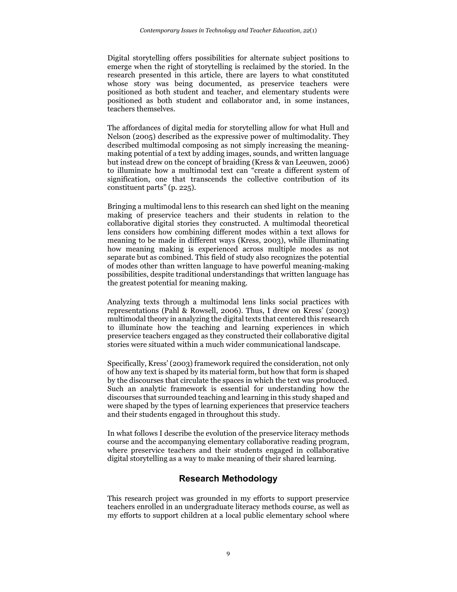Digital storytelling offers possibilities for alternate subject positions to emerge when the right of storytelling is reclaimed by the storied. In the research presented in this article, there are layers to what constituted whose story was being documented, as preservice teachers were positioned as both student and teacher, and elementary students were positioned as both student and collaborator and, in some instances, teachers themselves.

The affordances of digital media for storytelling allow for what Hull and Nelson (2005) described as the expressive power of multimodality. They described multimodal composing as not simply increasing the meaningmaking potential of a text by adding images, sounds, and written language but instead drew on the concept of braiding (Kress & van Leeuwen, 2006) to illuminate how a multimodal text can "create a different system of signification, one that transcends the collective contribution of its constituent parts" (p. 225).

Bringing a multimodal lens to this research can shed light on the meaning making of preservice teachers and their students in relation to the collaborative digital stories they constructed. A multimodal theoretical lens considers how combining different modes within a text allows for meaning to be made in different ways (Kress, 2003), while illuminating how meaning making is experienced across multiple modes as not separate but as combined. This field of study also recognizes the potential of modes other than written language to have powerful meaning-making possibilities, despite traditional understandings that written language has the greatest potential for meaning making.

Analyzing texts through a multimodal lens links social practices with representations (Pahl & Rowsell, 2006). Thus, I drew on Kress' (2003) multimodal theory in analyzing the digital texts that centered this research to illuminate how the teaching and learning experiences in which preservice teachers engaged as they constructed their collaborative digital stories were situated within a much wider communicational landscape.

Specifically, Kress' (2003) framework required the consideration, not only of how any text is shaped by its material form, but how that form is shaped by the discourses that circulate the spaces in which the text was produced. Such an analytic framework is essential for understanding how the discourses that surrounded teaching and learning in this study shaped and were shaped by the types of learning experiences that preservice teachers and their students engaged in throughout this study.

In what follows I describe the evolution of the preservice literacy methods course and the accompanying elementary collaborative reading program, where preservice teachers and their students engaged in collaborative digital storytelling as a way to make meaning of their shared learning.

# **Research Methodology**

This research project was grounded in my efforts to support preservice teachers enrolled in an undergraduate literacy methods course, as well as my efforts to support children at a local public elementary school where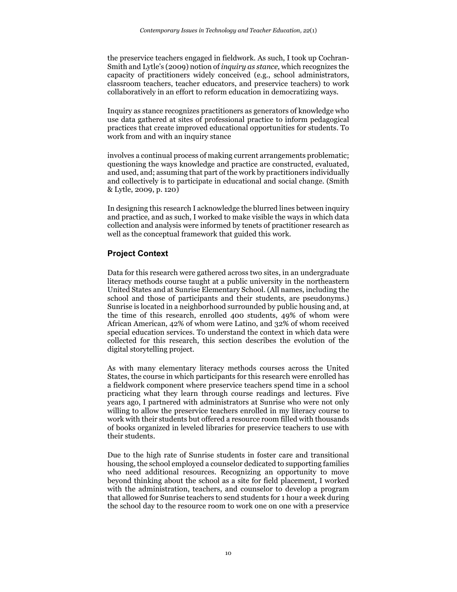the preservice teachers engaged in fieldwork. As such, I took up Cochran-Smith and Lytle's (2009) notion of *inquiry as stance,* which recognizes the capacity of practitioners widely conceived (e.g., school administrators, classroom teachers, teacher educators, and preservice teachers) to work collaboratively in an effort to reform education in democratizing ways*.*

Inquiry as stance recognizes practitioners as generators of knowledge who use data gathered at sites of professional practice to inform pedagogical practices that create improved educational opportunities for students. To work from and with an inquiry stance

involves a continual process of making current arrangements problematic; questioning the ways knowledge and practice are constructed, evaluated, and used, and; assuming that part of the work by practitioners individually and collectively is to participate in educational and social change. (Smith & Lytle, 2009, p. 120)

In designing this research I acknowledge the blurred lines between inquiry and practice, and as such, I worked to make visible the ways in which data collection and analysis were informed by tenets of practitioner research as well as the conceptual framework that guided this work.

## **Project Context**

Data for this research were gathered across two sites, in an undergraduate literacy methods course taught at a public university in the northeastern United States and at Sunrise Elementary School. (All names, including the school and those of participants and their students, are pseudonyms.) Sunrise is located in a neighborhood surrounded by public housing and, at the time of this research, enrolled 400 students, 49% of whom were African American, 42% of whom were Latino, and 32% of whom received special education services. To understand the context in which data were collected for this research, this section describes the evolution of the digital storytelling project.

As with many elementary literacy methods courses across the United States, the course in which participants for this research were enrolled has a fieldwork component where preservice teachers spend time in a school practicing what they learn through course readings and lectures. Five years ago, I partnered with administrators at Sunrise who were not only willing to allow the preservice teachers enrolled in my literacy course to work with their students but offered a resource room filled with thousands of books organized in leveled libraries for preservice teachers to use with their students.

Due to the high rate of Sunrise students in foster care and transitional housing, the school employed a counselor dedicated to supporting families who need additional resources. Recognizing an opportunity to move beyond thinking about the school as a site for field placement, I worked with the administration, teachers, and counselor to develop a program that allowed for Sunrise teachers to send students for 1 hour a week during the school day to the resource room to work one on one with a preservice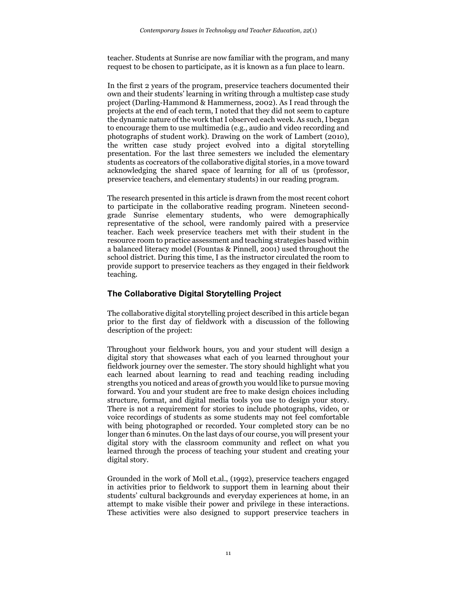teacher. Students at Sunrise are now familiar with the program, and many request to be chosen to participate, as it is known as a fun place to learn.

In the first 2 years of the program, preservice teachers documented their own and their students' learning in writing through a multistep case study project (Darling-Hammond & Hammerness, 2002). As I read through the projects at the end of each term, I noted that they did not seem to capture the dynamic nature of the work that I observed each week. As such, I began to encourage them to use multimedia (e.g., audio and video recording and photographs of student work). Drawing on the work of Lambert (2010), the written case study project evolved into a digital storytelling presentation. For the last three semesters we included the elementary students as cocreators of the collaborative digital stories, in a move toward acknowledging the shared space of learning for all of us (professor, preservice teachers, and elementary students) in our reading program.

The research presented in this article is drawn from the most recent cohort to participate in the collaborative reading program. Nineteen secondgrade Sunrise elementary students, who were demographically representative of the school, were randomly paired with a preservice teacher. Each week preservice teachers met with their student in the resource room to practice assessment and teaching strategies based within a balanced literacy model (Fountas & Pinnell, 2001) used throughout the school district. During this time, I as the instructor circulated the room to provide support to preservice teachers as they engaged in their fieldwork teaching.

## **The Collaborative Digital Storytelling Project**

The collaborative digital storytelling project described in this article began prior to the first day of fieldwork with a discussion of the following description of the project:

Throughout your fieldwork hours, you and your student will design a digital story that showcases what each of you learned throughout your fieldwork journey over the semester. The story should highlight what you each learned about learning to read and teaching reading including strengths you noticed and areas of growth you would like to pursue moving forward. You and your student are free to make design choices including structure, format, and digital media tools you use to design your story. There is not a requirement for stories to include photographs, video, or voice recordings of students as some students may not feel comfortable with being photographed or recorded. Your completed story can be no longer than 6 minutes. On the last days of our course, you will present your digital story with the classroom community and reflect on what you learned through the process of teaching your student and creating your digital story.

Grounded in the work of Moll et.al., (1992), preservice teachers engaged in activities prior to fieldwork to support them in learning about their students' cultural backgrounds and everyday experiences at home, in an attempt to make visible their power and privilege in these interactions. These activities were also designed to support preservice teachers in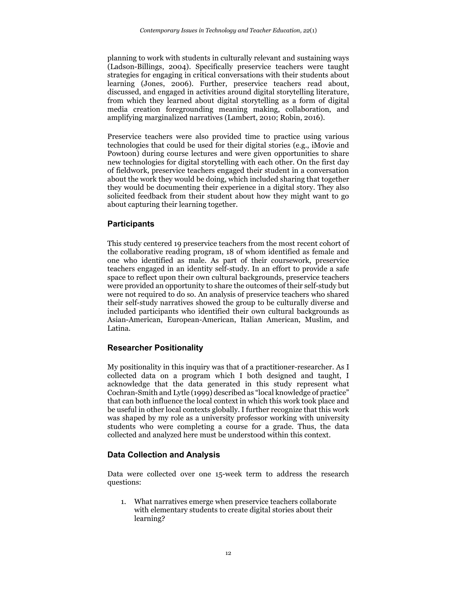planning to work with students in culturally relevant and sustaining ways (Ladson-Billings, 2004). Specifically preservice teachers were taught strategies for engaging in critical conversations with their students about learning (Jones, 2006). Further, preservice teachers read about, discussed, and engaged in activities around digital storytelling literature, from which they learned about digital storytelling as a form of digital media creation foregrounding meaning making, collaboration, and amplifying marginalized narratives (Lambert, 2010; Robin, 2016).

Preservice teachers were also provided time to practice using various technologies that could be used for their digital stories (e.g., iMovie and Powtoon) during course lectures and were given opportunities to share new technologies for digital storytelling with each other. On the first day of fieldwork, preservice teachers engaged their student in a conversation about the work they would be doing, which included sharing that together they would be documenting their experience in a digital story. They also solicited feedback from their student about how they might want to go about capturing their learning together.

# **Participants**

This study centered 19 preservice teachers from the most recent cohort of the collaborative reading program, 18 of whom identified as female and one who identified as male. As part of their coursework, preservice teachers engaged in an identity self-study. In an effort to provide a safe space to reflect upon their own cultural backgrounds, preservice teachers were provided an opportunity to share the outcomes of their self-study but were not required to do so. An analysis of preservice teachers who shared their self-study narratives showed the group to be culturally diverse and included participants who identified their own cultural backgrounds as Asian-American, European-American, Italian American, Muslim, and Latina.

## **Researcher Positionality**

My positionality in this inquiry was that of a practitioner-researcher. As I collected data on a program which I both designed and taught, I acknowledge that the data generated in this study represent what Cochran-Smith and Lytle (1999) described as "local knowledge of practice" that can both influence the local context in which this work took place and be useful in other local contexts globally. I further recognize that this work was shaped by my role as a university professor working with university students who were completing a course for a grade. Thus, the data collected and analyzed here must be understood within this context.

# **Data Collection and Analysis**

Data were collected over one 15-week term to address the research questions:

1. What narratives emerge when preservice teachers collaborate with elementary students to create digital stories about their learning?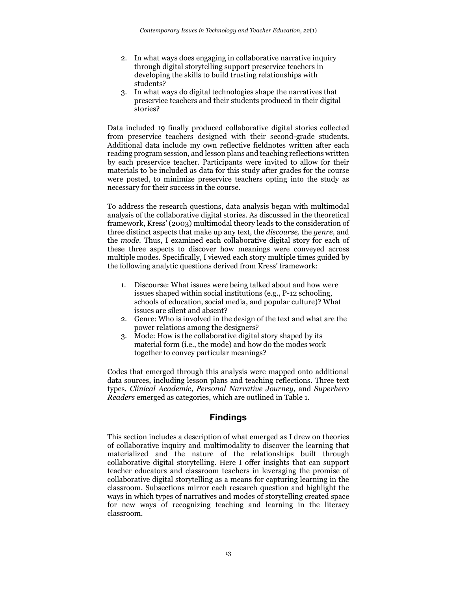- 2. In what ways does engaging in collaborative narrative inquiry through digital storytelling support preservice teachers in developing the skills to build trusting relationships with students?
- 3. In what ways do digital technologies shape the narratives that preservice teachers and their students produced in their digital stories?

Data included 19 finally produced collaborative digital stories collected from preservice teachers designed with their second-grade students. Additional data include my own reflective fieldnotes written after each reading program session, and lesson plans and teaching reflections written by each preservice teacher. Participants were invited to allow for their materials to be included as data for this study after grades for the course were posted, to minimize preservice teachers opting into the study as necessary for their success in the course.

To address the research questions, data analysis began with multimodal analysis of the collaborative digital stories. As discussed in the theoretical framework, Kress' (2003) multimodal theory leads to the consideration of three distinct aspects that make up any text, the *discourse,* the *genre,* and the *mode.* Thus, I examined each collaborative digital story for each of these three aspects to discover how meanings were conveyed across multiple modes. Specifically, I viewed each story multiple times guided by the following analytic questions derived from Kress' framework:

- 1. Discourse: What issues were being talked about and how were issues shaped within social institutions (e.g., P-12 schooling, schools of education, social media, and popular culture)? What issues are silent and absent?
- 2. Genre: Who is involved in the design of the text and what are the power relations among the designers?
- 3. Mode: How is the collaborative digital story shaped by its material form (i.e., the mode) and how do the modes work together to convey particular meanings?

Codes that emerged through this analysis were mapped onto additional data sources, including lesson plans and teaching reflections. Three text types, *Clinical Academic, Personal Narrative Journey,* and *Superhero Readers* emerged as categories, which are outlined in Table 1.

# **Findings**

This section includes a description of what emerged as I drew on theories of collaborative inquiry and multimodality to discover the learning that materialized and the nature of the relationships built through collaborative digital storytelling. Here I offer insights that can support teacher educators and classroom teachers in leveraging the promise of collaborative digital storytelling as a means for capturing learning in the classroom. Subsections mirror each research question and highlight the ways in which types of narratives and modes of storytelling created space for new ways of recognizing teaching and learning in the literacy classroom.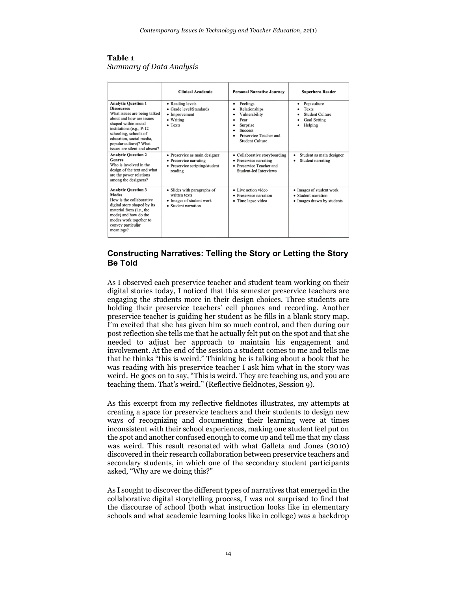#### **Table 1** *Summary of Data Analysis*

|                                                                                                                                                                                                                                                                                   | <b>Clinical Academic</b>                                                                             | <b>Personal Narrative Journey</b>                                                                                                  | <b>Superhero Reader</b>                                                             |
|-----------------------------------------------------------------------------------------------------------------------------------------------------------------------------------------------------------------------------------------------------------------------------------|------------------------------------------------------------------------------------------------------|------------------------------------------------------------------------------------------------------------------------------------|-------------------------------------------------------------------------------------|
| <b>Analytic Question 1</b><br><b>Discourses</b><br>What issues are being talked<br>about and how are issues<br>shaped within social<br>institutions (e.g., $P-12$<br>schooling, schools of<br>education, social media,<br>popular culture)? What<br>issues are silent and absent? | • Reading levels<br>• Grade level/Standards<br>$\bullet$ Improvement<br>• Writing<br>$\bullet$ Texts | Feelings<br>٠<br>Relationships<br>Vulnerability<br>Fear<br>Surprise<br><b>Success</b><br>Preservice Teacher and<br>Student Culture | Pop culture<br>٠<br>Texts<br><b>Student Culture</b><br>Goal Setting<br>Helping<br>٠ |
| <b>Analytic Question 2</b><br><b>Genres</b><br>Who is involved in the<br>design of the text and what<br>are the power relations<br>among the designers?                                                                                                                           | · Preservice as main designer<br>• Preservice narrating<br>• Preservice scripting/student<br>reading | • Collaborative storyboarding<br>• Preservice narrating<br>• Preservice Teacher and<br>Student-led Interviews                      | Student as main designer<br>٠<br>Student narrating                                  |
| <b>Analytic Question 3</b><br><b>Modes</b><br>How is the collaborative<br>digital story shaped by its<br>material form (i.e., the<br>mode) and how do the<br>modes work together to<br>convey particular<br>meanings?                                                             | • Slides with paragraphs of<br>written texts<br>• Images of student work<br>• Student narration      | • Live action video<br>• Preservice narration<br>• Time lapse video                                                                | • Images of student work<br>• Student narration<br>• Images drawn by students       |

## **Constructing Narratives: Telling the Story or Letting the Story Be Told**

As I observed each preservice teacher and student team working on their digital stories today, I noticed that this semester preservice teachers are engaging the students more in their design choices. Three students are holding their preservice teachers' cell phones and recording. Another preservice teacher is guiding her student as he fills in a blank story map. I'm excited that she has given him so much control, and then during our post reflection she tells me that he actually felt put on the spot and that she needed to adjust her approach to maintain his engagement and involvement. At the end of the session a student comes to me and tells me that he thinks "this is weird." Thinking he is talking about a book that he was reading with his preservice teacher I ask him what in the story was weird. He goes on to say, "This is weird. They are teaching us, and you are teaching them. That's weird." (Reflective fieldnotes, Session 9).

As this excerpt from my reflective fieldnotes illustrates, my attempts at creating a space for preservice teachers and their students to design new ways of recognizing and documenting their learning were at times inconsistent with their school experiences, making one student feel put on the spot and another confused enough to come up and tell me that my class was weird. This result resonated with what Galleta and Jones (2010) discovered in their research collaboration between preservice teachers and secondary students, in which one of the secondary student participants asked, "Why are we doing this?"

As I sought to discover the different types of narratives that emerged in the collaborative digital storytelling process, I was not surprised to find that the discourse of school (both what instruction looks like in elementary schools and what academic learning looks like in college) was a backdrop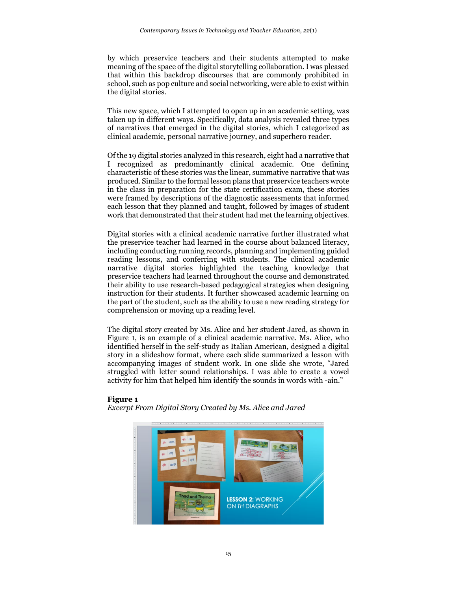by which preservice teachers and their students attempted to make meaning of the space of the digital storytelling collaboration. I was pleased that within this backdrop discourses that are commonly prohibited in school, such as pop culture and social networking, were able to exist within the digital stories.

This new space, which I attempted to open up in an academic setting, was taken up in different ways. Specifically, data analysis revealed three types of narratives that emerged in the digital stories, which I categorized as clinical academic, personal narrative journey, and superhero reader.

Of the 19 digital stories analyzed in this research, eight had a narrative that I recognized as predominantly clinical academic. One defining characteristic of these stories was the linear, summative narrative that was produced. Similar to the formal lesson plans that preservice teachers wrote in the class in preparation for the state certification exam, these stories were framed by descriptions of the diagnostic assessments that informed each lesson that they planned and taught, followed by images of student work that demonstrated that their student had met the learning objectives.

Digital stories with a clinical academic narrative further illustrated what the preservice teacher had learned in the course about balanced literacy, including conducting running records, planning and implementing guided reading lessons, and conferring with students. The clinical academic narrative digital stories highlighted the teaching knowledge that preservice teachers had learned throughout the course and demonstrated their ability to use research-based pedagogical strategies when designing instruction for their students. It further showcased academic learning on the part of the student, such as the ability to use a new reading strategy for comprehension or moving up a reading level.

The digital story created by Ms. Alice and her student Jared, as shown in Figure 1, is an example of a clinical academic narrative. Ms. Alice, who identified herself in the self-study as Italian American, designed a digital story in a slideshow format, where each slide summarized a lesson with accompanying images of student work. In one slide she wrote, "Jared struggled with letter sound relationships. I was able to create a vowel activity for him that helped him identify the sounds in words with -ain."

#### **Figure 1**

*Excerpt From Digital Story Created by Ms. Alice and Jared*

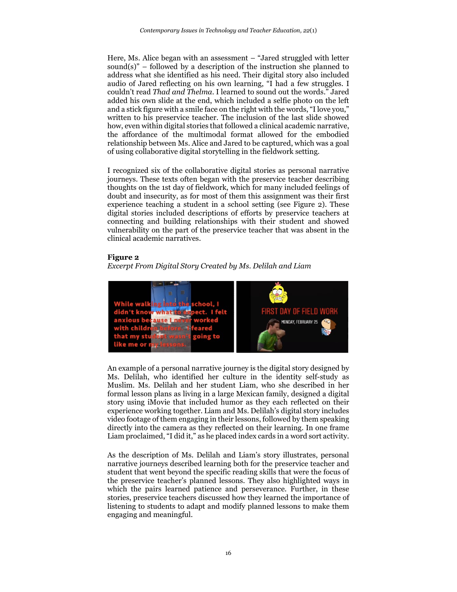Here, Ms. Alice began with an assessment – "Jared struggled with letter sound $(s)$ " – followed by a description of the instruction she planned to address what she identified as his need. Their digital story also included audio of Jared reflecting on his own learning, "I had a few struggles. I couldn't read *Thad and Thelma*. I learned to sound out the words." Jared added his own slide at the end, which included a selfie photo on the left and a stick figure with a smile face on the right with the words, "I love you," written to his preservice teacher. The inclusion of the last slide showed how, even within digital stories that followed a clinical academic narrative, the affordance of the multimodal format allowed for the embodied relationship between Ms. Alice and Jared to be captured, which was a goal of using collaborative digital storytelling in the fieldwork setting.

I recognized six of the collaborative digital stories as personal narrative journeys. These texts often began with the preservice teacher describing thoughts on the 1st day of fieldwork, which for many included feelings of doubt and insecurity, as for most of them this assignment was their first experience teaching a student in a school setting (see Figure 2). These digital stories included descriptions of efforts by preservice teachers at connecting and building relationships with their student and showed vulnerability on the part of the preservice teacher that was absent in the clinical academic narratives.

#### **Figure 2**

*Excerpt From Digital Story Created by Ms. Delilah and Liam*



An example of a personal narrative journey is the digital story designed by Ms. Delilah, who identified her culture in the identity self-study as Muslim. Ms. Delilah and her student Liam, who she described in her formal lesson plans as living in a large Mexican family, designed a digital story using iMovie that included humor as they each reflected on their experience working together. Liam and Ms. Delilah's digital story includes video footage of them engaging in their lessons, followed by them speaking directly into the camera as they reflected on their learning. In one frame Liam proclaimed, "I did it," as he placed index cards in a word sort activity.

As the description of Ms. Delilah and Liam's story illustrates, personal narrative journeys described learning both for the preservice teacher and student that went beyond the specific reading skills that were the focus of the preservice teacher's planned lessons. They also highlighted ways in which the pairs learned patience and perseverance. Further, in these stories, preservice teachers discussed how they learned the importance of listening to students to adapt and modify planned lessons to make them engaging and meaningful.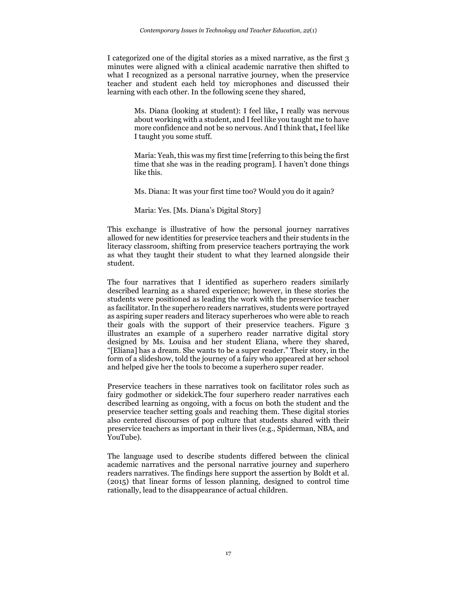I categorized one of the digital stories as a mixed narrative, as the first 3 minutes were aligned with a clinical academic narrative then shifted to what I recognized as a personal narrative journey, when the preservice teacher and student each held toy microphones and discussed their learning with each other. In the following scene they shared,

> Ms. Diana (looking at student): I feel like**,** I really was nervous about working with a student, and I feel like you taught me to have more confidence and not be so nervous. And I think that**,**I feel like I taught you some stuff.

> Maria: Yeah, this was my first time [referring to this being the first time that she was in the reading program]. I haven't done things like this.

Ms. Diana: It was your first time too? Would you do it again?

#### Maria: Yes. [Ms. Diana's Digital Story]

This exchange is illustrative of how the personal journey narratives allowed for new identities for preservice teachers and their students in the literacy classroom, shifting from preservice teachers portraying the work as what they taught their student to what they learned alongside their student.

The four narratives that I identified as superhero readers similarly described learning as a shared experience; however, in these stories the students were positioned as leading the work with the preservice teacher as facilitator. In the superhero readers narratives, students were portrayed as aspiring super readers and literacy superheroes who were able to reach their goals with the support of their preservice teachers. Figure 3 illustrates an example of a superhero reader narrative digital story designed by Ms. Louisa and her student Eliana, where they shared, "[Eliana] has a dream. She wants to be a super reader." Their story, in the form of a slideshow, told the journey of a fairy who appeared at her school and helped give her the tools to become a superhero super reader.

Preservice teachers in these narratives took on facilitator roles such as fairy godmother or sidekick.The four superhero reader narratives each described learning as ongoing, with a focus on both the student and the preservice teacher setting goals and reaching them. These digital stories also centered discourses of pop culture that students shared with their preservice teachers as important in their lives (e.g., Spiderman, NBA, and YouTube).

The language used to describe students differed between the clinical academic narratives and the personal narrative journey and superhero readers narratives. The findings here support the assertion by Boldt et al. (2015) that linear forms of lesson planning, designed to control time rationally, lead to the disappearance of actual children.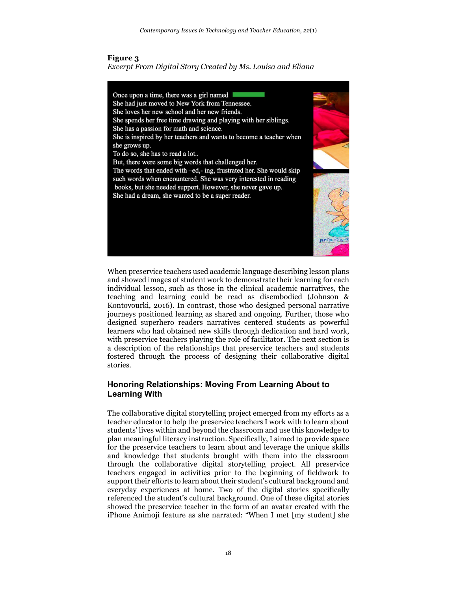#### **Figure 3**

*Excerpt From Digital Story Created by Ms. Louisa and Eliana*



When preservice teachers used academic language describing lesson plans and showed images of student work to demonstrate their learning for each individual lesson, such as those in the clinical academic narratives, the teaching and learning could be read as disembodied (Johnson & Kontovourki, 2016). In contrast, those who designed personal narrative journeys positioned learning as shared and ongoing. Further, those who designed superhero readers narratives centered students as powerful learners who had obtained new skills through dedication and hard work, with preservice teachers playing the role of facilitator. The next section is a description of the relationships that preservice teachers and students fostered through the process of designing their collaborative digital stories.

## **Honoring Relationships: Moving From Learning About to Learning With**

The collaborative digital storytelling project emerged from my efforts as a teacher educator to help the preservice teachers I work with to learn about students' lives within and beyond the classroom and use this knowledge to plan meaningful literacy instruction. Specifically, I aimed to provide space for the preservice teachers to learn about and leverage the unique skills and knowledge that students brought with them into the classroom through the collaborative digital storytelling project. All preservice teachers engaged in activities prior to the beginning of fieldwork to support their efforts to learn about their student's cultural background and everyday experiences at home. Two of the digital stories specifically referenced the student's cultural background. One of these digital stories showed the preservice teacher in the form of an avatar created with the iPhone Animoji feature as she narrated: "When I met [my student] she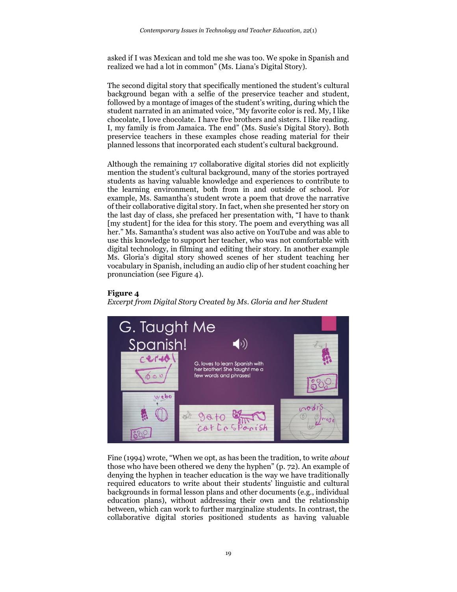asked if I was Mexican and told me she was too. We spoke in Spanish and realized we had a lot in common" (Ms. Liana's Digital Story).

The second digital story that specifically mentioned the student's cultural background began with a selfie of the preservice teacher and student, followed by a montage of images of the student's writing, during which the student narrated in an animated voice, "My favorite color is red. My, I like chocolate, I love chocolate. I have five brothers and sisters. I like reading. I, my family is from Jamaica. The end" (Ms. Susie's Digital Story). Both preservice teachers in these examples chose reading material for their planned lessons that incorporated each student's cultural background.

Although the remaining 17 collaborative digital stories did not explicitly mention the student's cultural background, many of the stories portrayed students as having valuable knowledge and experiences to contribute to the learning environment, both from in and outside of school. For example, Ms. Samantha's student wrote a poem that drove the narrative of their collaborative digital story. In fact, when she presented her story on the last day of class, she prefaced her presentation with, "I have to thank [my student] for the idea for this story. The poem and everything was all her." Ms. Samantha's student was also active on YouTube and was able to use this knowledge to support her teacher, who was not comfortable with digital technology, in filming and editing their story. In another example Ms. Gloria's digital story showed scenes of her student teaching her vocabulary in Spanish, including an audio clip of her student coaching her pronunciation (see Figure 4).

## **Figure 4**

*Excerpt from Digital Story Created by Ms. Gloria and her Student*



Fine (1994) wrote, "When we opt, as has been the tradition, to write *about*  those who have been othered we deny the hyphen" (p. 72). An example of denying the hyphen in teacher education is the way we have traditionally required educators to write about their students' linguistic and cultural backgrounds in formal lesson plans and other documents (e.g., individual education plans), without addressing their own and the relationship between, which can work to further marginalize students. In contrast, the collaborative digital stories positioned students as having valuable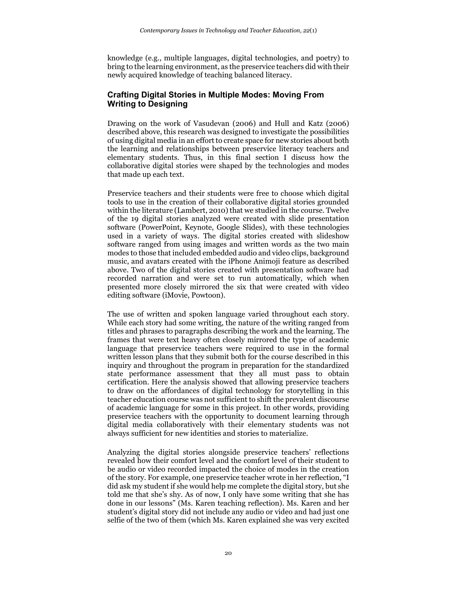knowledge (e.g., multiple languages, digital technologies, and poetry) to bring to the learning environment, as the preservice teachers did with their newly acquired knowledge of teaching balanced literacy.

# **Crafting Digital Stories in Multiple Modes: Moving From Writing to Designing**

Drawing on the work of Vasudevan (2006) and Hull and Katz (2006) described above, this research was designed to investigate the possibilities of using digital media in an effort to create space for new stories about both the learning and relationships between preservice literacy teachers and elementary students. Thus, in this final section I discuss how the collaborative digital stories were shaped by the technologies and modes that made up each text.

Preservice teachers and their students were free to choose which digital tools to use in the creation of their collaborative digital stories grounded within the literature (Lambert, 2010) that we studied in the course. Twelve of the 19 digital stories analyzed were created with slide presentation software (PowerPoint, Keynote, Google Slides), with these technologies used in a variety of ways. The digital stories created with slideshow software ranged from using images and written words as the two main modes to those that included embedded audio and video clips, background music, and avatars created with the iPhone Animoji feature as described above. Two of the digital stories created with presentation software had recorded narration and were set to run automatically, which when presented more closely mirrored the six that were created with video editing software (iMovie, Powtoon).

The use of written and spoken language varied throughout each story. While each story had some writing, the nature of the writing ranged from titles and phrases to paragraphs describing the work and the learning. The frames that were text heavy often closely mirrored the type of academic language that preservice teachers were required to use in the formal written lesson plans that they submit both for the course described in this inquiry and throughout the program in preparation for the standardized state performance assessment that they all must pass to obtain certification. Here the analysis showed that allowing preservice teachers to draw on the affordances of digital technology for storytelling in this teacher education course was not sufficient to shift the prevalent discourse of academic language for some in this project. In other words, providing preservice teachers with the opportunity to document learning through digital media collaboratively with their elementary students was not always sufficient for new identities and stories to materialize.

Analyzing the digital stories alongside preservice teachers' reflections revealed how their comfort level and the comfort level of their student to be audio or video recorded impacted the choice of modes in the creation of the story. For example, one preservice teacher wrote in her reflection, "I did ask my student if she would help me complete the digital story, but she told me that she's shy. As of now, I only have some writing that she has done in our lessons" (Ms. Karen teaching reflection). Ms. Karen and her student's digital story did not include any audio or video and had just one selfie of the two of them (which Ms. Karen explained she was very excited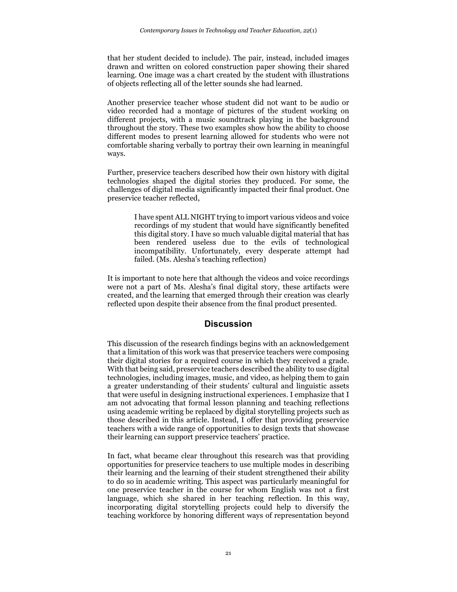that her student decided to include). The pair, instead, included images drawn and written on colored construction paper showing their shared learning. One image was a chart created by the student with illustrations of objects reflecting all of the letter sounds she had learned.

Another preservice teacher whose student did not want to be audio or video recorded had a montage of pictures of the student working on different projects, with a music soundtrack playing in the background throughout the story. These two examples show how the ability to choose different modes to present learning allowed for students who were not comfortable sharing verbally to portray their own learning in meaningful ways.

Further, preservice teachers described how their own history with digital technologies shaped the digital stories they produced. For some, the challenges of digital media significantly impacted their final product. One preservice teacher reflected,

> I have spent ALL NIGHT trying to import various videos and voice recordings of my student that would have significantly benefited this digital story. I have so much valuable digital material that has been rendered useless due to the evils of technological incompatibility. Unfortunately, every desperate attempt had failed. (Ms. Alesha's teaching reflection)

It is important to note here that although the videos and voice recordings were not a part of Ms. Alesha's final digital story, these artifacts were created, and the learning that emerged through their creation was clearly reflected upon despite their absence from the final product presented.

## **Discussion**

This discussion of the research findings begins with an acknowledgement that a limitation of this work was that preservice teachers were composing their digital stories for a required course in which they received a grade. With that being said, preservice teachers described the ability to use digital technologies, including images, music, and video, as helping them to gain a greater understanding of their students' cultural and linguistic assets that were useful in designing instructional experiences. I emphasize that I am not advocating that formal lesson planning and teaching reflections using academic writing be replaced by digital storytelling projects such as those described in this article. Instead, I offer that providing preservice teachers with a wide range of opportunities to design texts that showcase their learning can support preservice teachers' practice.

In fact, what became clear throughout this research was that providing opportunities for preservice teachers to use multiple modes in describing their learning and the learning of their student strengthened their ability to do so in academic writing. This aspect was particularly meaningful for one preservice teacher in the course for whom English was not a first language, which she shared in her teaching reflection. In this way, incorporating digital storytelling projects could help to diversify the teaching workforce by honoring different ways of representation beyond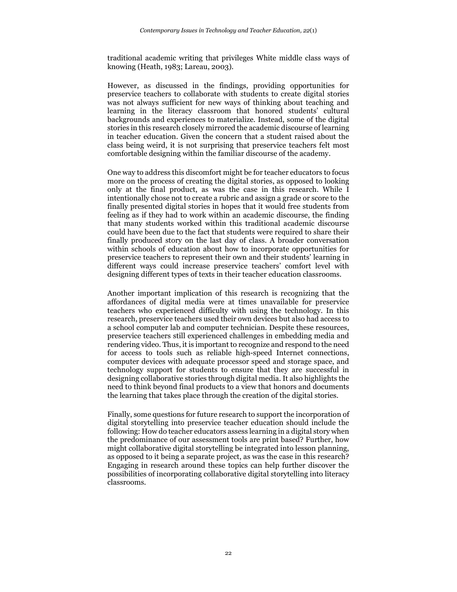traditional academic writing that privileges White middle class ways of knowing (Heath, 1983; Lareau, 2003).

However, as discussed in the findings, providing opportunities for preservice teachers to collaborate with students to create digital stories was not always sufficient for new ways of thinking about teaching and learning in the literacy classroom that honored students' cultural backgrounds and experiences to materialize. Instead, some of the digital stories in this research closely mirrored the academic discourse of learning in teacher education. Given the concern that a student raised about the class being weird, it is not surprising that preservice teachers felt most comfortable designing within the familiar discourse of the academy.

One way to address this discomfort might be for teacher educators to focus more on the process of creating the digital stories, as opposed to looking only at the final product, as was the case in this research. While I intentionally chose not to create a rubric and assign a grade or score to the finally presented digital stories in hopes that it would free students from feeling as if they had to work within an academic discourse, the finding that many students worked within this traditional academic discourse could have been due to the fact that students were required to share their finally produced story on the last day of class. A broader conversation within schools of education about how to incorporate opportunities for preservice teachers to represent their own and their students' learning in different ways could increase preservice teachers' comfort level with designing different types of texts in their teacher education classrooms.

Another important implication of this research is recognizing that the affordances of digital media were at times unavailable for preservice teachers who experienced difficulty with using the technology. In this research, preservice teachers used their own devices but also had access to a school computer lab and computer technician. Despite these resources, preservice teachers still experienced challenges in embedding media and rendering video. Thus, it is important to recognize and respond to the need for access to tools such as reliable high-speed Internet connections, computer devices with adequate processor speed and storage space, and technology support for students to ensure that they are successful in designing collaborative stories through digital media. It also highlights the need to think beyond final products to a view that honors and documents the learning that takes place through the creation of the digital stories.

Finally, some questions for future research to support the incorporation of digital storytelling into preservice teacher education should include the following: How do teacher educators assess learning in a digital story when the predominance of our assessment tools are print based? Further, how might collaborative digital storytelling be integrated into lesson planning, as opposed to it being a separate project, as was the case in this research? Engaging in research around these topics can help further discover the possibilities of incorporating collaborative digital storytelling into literacy classrooms.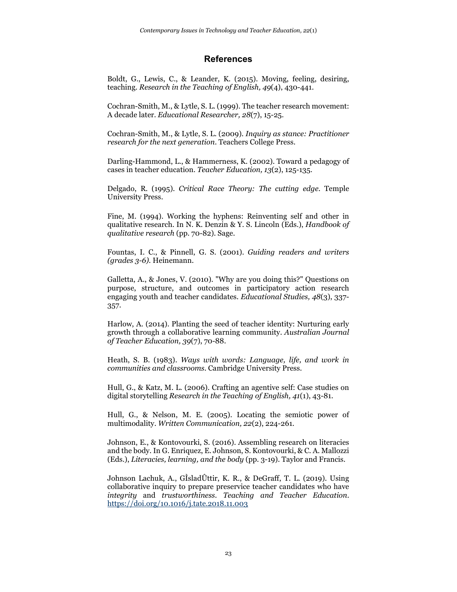#### **References**

Boldt, G., Lewis, C., & Leander, K. (2015). Moving, feeling, desiring, teaching. *Research in the Teaching of English, 49*(4), 430-441.

Cochran-Smith, M., & Lytle, S. L. (1999). The teacher research movement: A decade later. *Educational Researcher, 28*(7), 15-25.

Cochran-Smith, M., & Lytle, S. L. (2009). *Inquiry as stance: Practitioner research for the next generation*. Teachers College Press.

Darling-Hammond, L., & Hammerness, K. (2002). Toward a pedagogy of cases in teacher education. *Teacher Education, 13*(2), 125-135.

Delgado, R. (1995). *Critical Race Theory: The cutting edge*. Temple University Press.

Fine, M. (1994). Working the hyphens: Reinventing self and other in qualitative research. In N. K. Denzin & Y. S. Lincoln (Eds.), *Handbook of qualitative research* (pp. 70-82). Sage.

Fountas, I. C., & Pinnell, G. S. (2001). *Guiding readers and writers (grades 3-6).* Heinemann.

Galletta, A., & Jones, V. (2010). "Why are you doing this?" Questions on purpose, structure, and outcomes in participatory action research engaging youth and teacher candidates. *Educational Studies, 48*(3), 337- 357.

Harlow, A. (2014). Planting the seed of teacher identity: Nurturing early growth through a collaborative learning community. *Australian Journal of Teacher Education, 39*(7), 70-88.

Heath, S. B. (1983). *Ways with words: Language, life, and work in communities and classrooms*. Cambridge University Press.

Hull, G., & Katz, M. L. (2006). Crafting an agentive self: Case studies on digital storytelling *Research in the Teaching of English, 41*(1), 43-81.

Hull, G., & Nelson, M. E. (2005). Locating the semiotic power of multimodality. *Written Communication, 22*(2), 224-261.

Johnson, E., & Kontovourki, S. (2016). Assembling research on literacies and the body. In G. Enriquez, E. Johnson, S. Kontovourki, & C. A. Mallozzi (Eds.), *Literacies, learning, and the body* (pp. 3-19). Taylor and Francis.

Johnson Lachuk, A., GÌsladÛttir, K. R., & DeGraff, T. L. (2019). Using collaborative inquiry to prepare preservice teacher candidates who have *integrity* and *trustworthiness*. *Teaching and Teacher Education*. <https://doi.org/10.1016/j.tate.2018.11.003>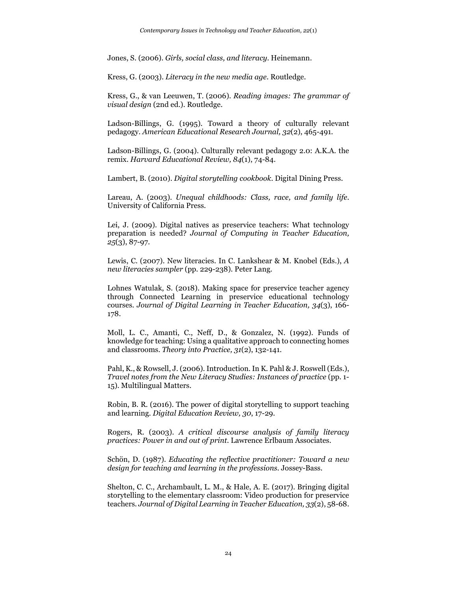Jones, S. (2006). *Girls, social class, and literacy*. Heinemann.

Kress, G. (2003). *Literacy in the new media age*. Routledge.

Kress, G., & van Leeuwen, T. (2006). *Reading images: The grammar of visual design* (2nd ed.). Routledge.

Ladson-Billings, G. (1995). Toward a theory of culturally relevant pedagogy. *American Educational Research Journal, 32*(2), 465-491.

Ladson-Billings, G. (2004). Culturally relevant pedagogy 2.0: A.K.A. the remix. *Harvard Educational Review, 84*(1), 74-84.

Lambert, B. (2010). *Digital storytelling cookbook*. Digital Dining Press.

Lareau, A. (2003). *Unequal childhoods: Class, race, and family life*. University of California Press.

Lei, J. (2009). Digital natives as preservice teachers: What technology preparation is needed? *Journal of Computing in Teacher Education, 25*(3), 87-97.

Lewis, C. (2007). New literacies. In C. Lankshear & M. Knobel (Eds.), *A new literacies sampler* (pp. 229-238). Peter Lang.

Lohnes Watulak, S. (2018). Making space for preservice teacher agency through Connected Learning in preservice educational technology courses. *Journal of Digital Learning in Teacher Education, 34*(3), 166- 178.

Moll, L. C., Amanti, C., Neff, D., & Gonzalez, N. (1992). Funds of knowledge for teaching: Using a qualitative approach to connecting homes and classrooms. *Theory into Practice, 31*(2), 132-141.

Pahl, K., & Rowsell, J. (2006). Introduction. In K. Pahl & J. Roswell (Eds.), *Travel notes from the New Literacy Studies: Instances of practice* (pp. 1- 15). Multilingual Matters.

Robin, B. R. (2016). The power of digital storytelling to support teaching and learning. *Digital Education Review, 30*, 17-29.

Rogers, R. (2003). *A critical discourse analysis of family literacy practices: Power in and out of print*. Lawrence Erlbaum Associates.

Schön, D. (1987). *Educating the reflective practitioner: Toward a new design for teaching and learning in the professions.* Jossey-Bass.

Shelton, C. C., Archambault, L. M., & Hale, A. E. (2017). Bringing digital storytelling to the elementary classroom: Video production for preservice teachers. *Journal of Digital Learning in Teacher Education, 33*(2), 58-68.